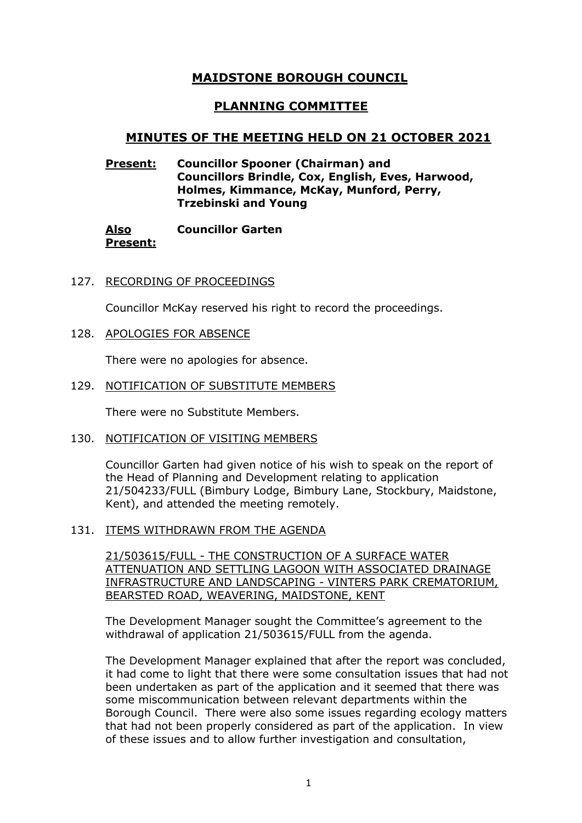# **MAIDSTONE BOROUGH COUNCIL**

# **PLANNING COMMITTEE**

# **MINUTES OF THE MEETING HELD ON 21 OCTOBER 2021**

## **Present: Councillor Spooner (Chairman) and Councillors Brindle, Cox, English, Eves, Harwood, Holmes, Kimmance, McKay, Munford, Perry, Trzebinski and Young**

#### **Also Present: Councillor Garten**

127. RECORDING OF PROCEEDINGS

Councillor McKay reserved his right to record the proceedings.

128. APOLOGIES FOR ABSENCE

There were no apologies for absence.

129. NOTIFICATION OF SUBSTITUTE MEMBERS

There were no Substitute Members.

130. NOTIFICATION OF VISITING MEMBERS

Councillor Garten had given notice of his wish to speak on the report of the Head of Planning and Development relating to application 21/504233/FULL (Bimbury Lodge, Bimbury Lane, Stockbury, Maidstone, Kent), and attended the meeting remotely.

131. ITEMS WITHDRAWN FROM THE AGENDA

21/503615/FULL - THE CONSTRUCTION OF A SURFACE WATER ATTENUATION AND SETTLING LAGOON WITH ASSOCIATED DRAINAGE INFRASTRUCTURE AND LANDSCAPING - VINTERS PARK CREMATORIUM, BEARSTED ROAD, WEAVERING, MAIDSTONE, KENT

The Development Manager sought the Committee's agreement to the withdrawal of application 21/503615/FULL from the agenda.

The Development Manager explained that after the report was concluded, it had come to light that there were some consultation issues that had not been undertaken as part of the application and it seemed that there was some miscommunication between relevant departments within the Borough Council. There were also some issues regarding ecology matters that had not been properly considered as part of the application. In view of these issues and to allow further investigation and consultation,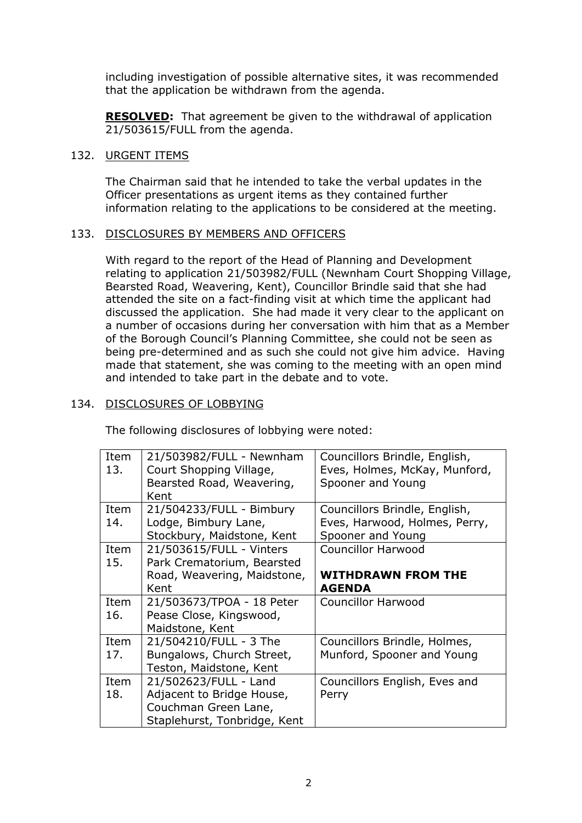including investigation of possible alternative sites, it was recommended that the application be withdrawn from the agenda.

**RESOLVED:** That agreement be given to the withdrawal of application 21/503615/FULL from the agenda.

## 132. URGENT ITEMS

The Chairman said that he intended to take the verbal updates in the Officer presentations as urgent items as they contained further information relating to the applications to be considered at the meeting.

## 133. DISCLOSURES BY MEMBERS AND OFFICERS

With regard to the report of the Head of Planning and Development relating to application 21/503982/FULL (Newnham Court Shopping Village, Bearsted Road, Weavering, Kent), Councillor Brindle said that she had attended the site on a fact-finding visit at which time the applicant had discussed the application. She had made it very clear to the applicant on a number of occasions during her conversation with him that as a Member of the Borough Council's Planning Committee, she could not be seen as being pre-determined and as such she could not give him advice. Having made that statement, she was coming to the meeting with an open mind and intended to take part in the debate and to vote.

## 134. DISCLOSURES OF LOBBYING

The following disclosures of lobbying were noted:

| Item<br>13. | 21/503982/FULL - Newnham<br>Court Shopping Village,<br>Bearsted Road, Weavering, | Councillors Brindle, English,<br>Eves, Holmes, McKay, Munford,<br>Spooner and Young |
|-------------|----------------------------------------------------------------------------------|-------------------------------------------------------------------------------------|
|             | Kent                                                                             |                                                                                     |
| Item        | 21/504233/FULL - Bimbury                                                         | Councillors Brindle, English,                                                       |
| 14.         | Lodge, Bimbury Lane,                                                             | Eves, Harwood, Holmes, Perry,                                                       |
|             | Stockbury, Maidstone, Kent                                                       | Spooner and Young                                                                   |
| Item        | 21/503615/FULL - Vinters                                                         | <b>Councillor Harwood</b>                                                           |
| 15.         | Park Crematorium, Bearsted                                                       |                                                                                     |
|             | Road, Weavering, Maidstone,                                                      | <b>WITHDRAWN FROM THE</b>                                                           |
|             | Kent                                                                             | <b>AGENDA</b>                                                                       |
| Item        | 21/503673/TPOA - 18 Peter                                                        | <b>Councillor Harwood</b>                                                           |
| 16.         | Pease Close, Kingswood,                                                          |                                                                                     |
|             | Maidstone, Kent                                                                  |                                                                                     |
| Item        | 21/504210/FULL - 3 The                                                           | Councillors Brindle, Holmes,                                                        |
| 17.         | Bungalows, Church Street,                                                        | Munford, Spooner and Young                                                          |
|             | Teston, Maidstone, Kent                                                          |                                                                                     |
| Item        | 21/502623/FULL - Land                                                            | Councillors English, Eves and                                                       |
| 18.         | Adjacent to Bridge House,                                                        | Perry                                                                               |
|             | Couchman Green Lane,                                                             |                                                                                     |
|             | Staplehurst, Tonbridge, Kent                                                     |                                                                                     |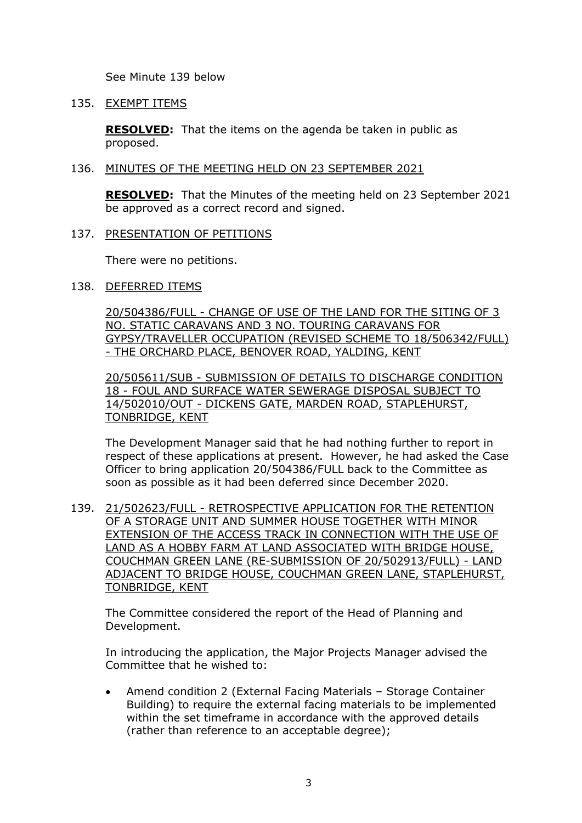See Minute 139 below

## 135. EXEMPT ITEMS

**RESOLVED:** That the items on the agenda be taken in public as proposed.

#### 136. MINUTES OF THE MEETING HELD ON 23 SEPTEMBER 2021

**RESOLVED:** That the Minutes of the meeting held on 23 September 2021 be approved as a correct record and signed.

### 137. PRESENTATION OF PETITIONS

There were no petitions.

## 138. DEFERRED ITEMS

20/504386/FULL - CHANGE OF USE OF THE LAND FOR THE SITING OF 3 NO. STATIC CARAVANS AND 3 NO. TOURING CARAVANS FOR GYPSY/TRAVELLER OCCUPATION (REVISED SCHEME TO 18/506342/FULL) - THE ORCHARD PLACE, BENOVER ROAD, YALDING, KENT

20/505611/SUB - SUBMISSION OF DETAILS TO DISCHARGE CONDITION 18 - FOUL AND SURFACE WATER SEWERAGE DISPOSAL SUBJECT TO 14/502010/OUT - DICKENS GATE, MARDEN ROAD, STAPLEHURST, TONBRIDGE, KENT

The Development Manager said that he had nothing further to report in respect of these applications at present. However, he had asked the Case Officer to bring application 20/504386/FULL back to the Committee as soon as possible as it had been deferred since December 2020.

139. 21/502623/FULL - RETROSPECTIVE APPLICATION FOR THE RETENTION OF A STORAGE UNIT AND SUMMER HOUSE TOGETHER WITH MINOR EXTENSION OF THE ACCESS TRACK IN CONNECTION WITH THE USE OF LAND AS A HOBBY FARM AT LAND ASSOCIATED WITH BRIDGE HOUSE, COUCHMAN GREEN LANE (RE-SUBMISSION OF 20/502913/FULL) - LAND ADJACENT TO BRIDGE HOUSE, COUCHMAN GREEN LANE, STAPLEHURST, TONBRIDGE, KENT

The Committee considered the report of the Head of Planning and Development.

In introducing the application, the Major Projects Manager advised the Committee that he wished to:

• Amend condition 2 (External Facing Materials – Storage Container Building) to require the external facing materials to be implemented within the set timeframe in accordance with the approved details (rather than reference to an acceptable degree);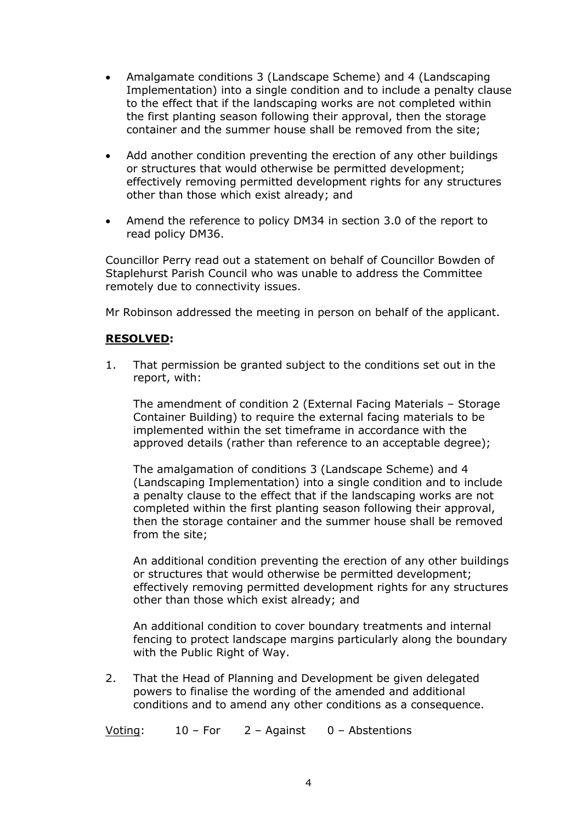- Amalgamate conditions 3 (Landscape Scheme) and 4 (Landscaping Implementation) into a single condition and to include a penalty clause to the effect that if the landscaping works are not completed within the first planting season following their approval, then the storage container and the summer house shall be removed from the site;
- Add another condition preventing the erection of any other buildings or structures that would otherwise be permitted development; effectively removing permitted development rights for any structures other than those which exist already; and
- Amend the reference to policy DM34 in section 3.0 of the report to read policy DM36.

Councillor Perry read out a statement on behalf of Councillor Bowden of Staplehurst Parish Council who was unable to address the Committee remotely due to connectivity issues.

Mr Robinson addressed the meeting in person on behalf of the applicant.

## **RESOLVED:**

1. That permission be granted subject to the conditions set out in the report, with:

The amendment of condition 2 (External Facing Materials – Storage Container Building) to require the external facing materials to be implemented within the set timeframe in accordance with the approved details (rather than reference to an acceptable degree);

The amalgamation of conditions 3 (Landscape Scheme) and 4 (Landscaping Implementation) into a single condition and to include a penalty clause to the effect that if the landscaping works are not completed within the first planting season following their approval, then the storage container and the summer house shall be removed from the site;

An additional condition preventing the erection of any other buildings or structures that would otherwise be permitted development; effectively removing permitted development rights for any structures other than those which exist already; and

An additional condition to cover boundary treatments and internal fencing to protect landscape margins particularly along the boundary with the Public Right of Way.

2. That the Head of Planning and Development be given delegated powers to finalise the wording of the amended and additional conditions and to amend any other conditions as a consequence.

Voting: 10 – For 2 – Against 0 – Abstentions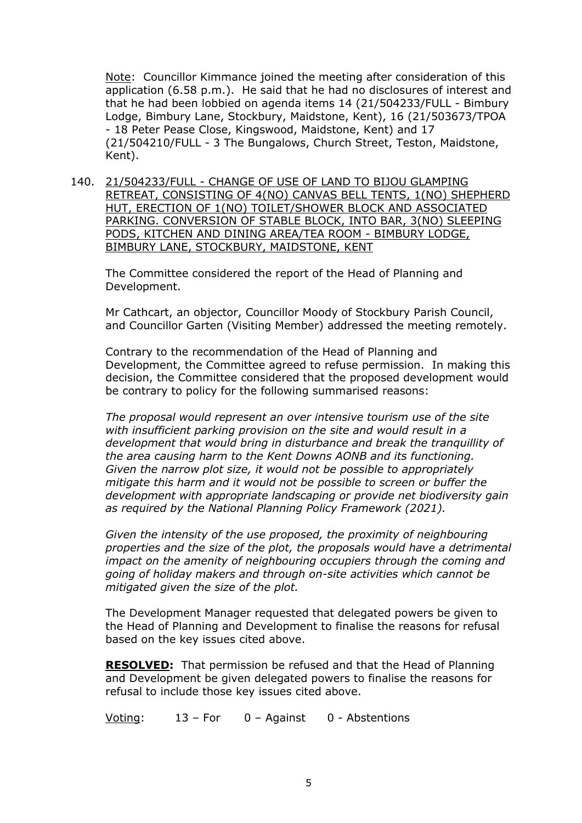Note: Councillor Kimmance joined the meeting after consideration of this application (6.58 p.m.). He said that he had no disclosures of interest and that he had been lobbied on agenda items 14 (21/504233/FULL - Bimbury Lodge, Bimbury Lane, Stockbury, Maidstone, Kent), 16 (21/503673/TPOA - 18 Peter Pease Close, Kingswood, Maidstone, Kent) and 17 (21/504210/FULL - 3 The Bungalows, Church Street, Teston, Maidstone, Kent).

140. 21/504233/FULL - CHANGE OF USE OF LAND TO BIJOU GLAMPING RETREAT, CONSISTING OF 4(NO) CANVAS BELL TENTS, 1(NO) SHEPHERD HUT, ERECTION OF 1(NO) TOILET/SHOWER BLOCK AND ASSOCIATED PARKING. CONVERSION OF STABLE BLOCK, INTO BAR, 3(NO) SLEEPING PODS, KITCHEN AND DINING AREA/TEA ROOM - BIMBURY LODGE, BIMBURY LANE, STOCKBURY, MAIDSTONE, KENT

The Committee considered the report of the Head of Planning and Development.

Mr Cathcart, an objector, Councillor Moody of Stockbury Parish Council, and Councillor Garten (Visiting Member) addressed the meeting remotely.

Contrary to the recommendation of the Head of Planning and Development, the Committee agreed to refuse permission. In making this decision, the Committee considered that the proposed development would be contrary to policy for the following summarised reasons:

*The proposal would represent an over intensive tourism use of the site with insufficient parking provision on the site and would result in a development that would bring in disturbance and break the tranquillity of the area causing harm to the Kent Downs AONB and its functioning. Given the narrow plot size, it would not be possible to appropriately mitigate this harm and it would not be possible to screen or buffer the development with appropriate landscaping or provide net biodiversity gain as required by the National Planning Policy Framework (2021).*

*Given the intensity of the use proposed, the proximity of neighbouring properties and the size of the plot, the proposals would have a detrimental impact on the amenity of neighbouring occupiers through the coming and going of holiday makers and through on-site activities which cannot be mitigated given the size of the plot.*

The Development Manager requested that delegated powers be given to the Head of Planning and Development to finalise the reasons for refusal based on the key issues cited above.

**RESOLVED:** That permission be refused and that the Head of Planning and Development be given delegated powers to finalise the reasons for refusal to include those key issues cited above.

Voting: 13 – For 0 – Against 0 - Abstentions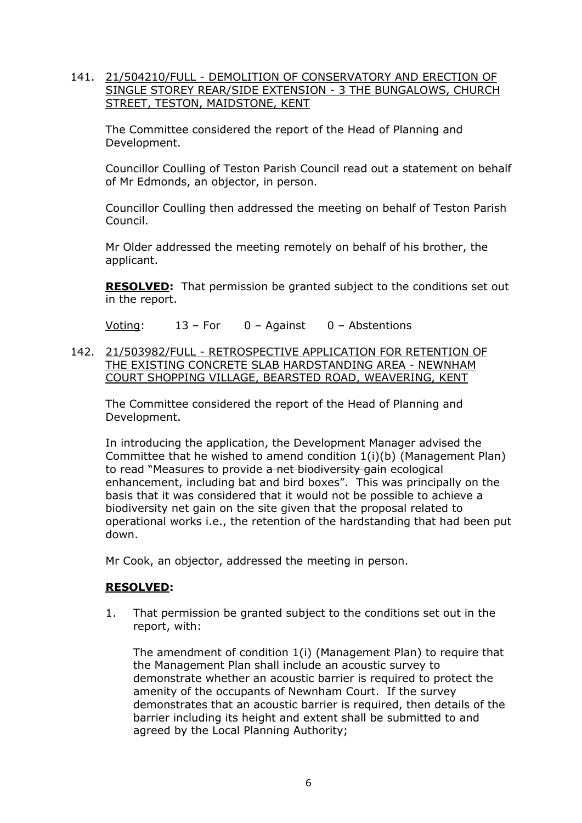## 141. 21/504210/FULL - DEMOLITION OF CONSERVATORY AND ERECTION OF SINGLE STOREY REAR/SIDE EXTENSION - 3 THE BUNGALOWS, CHURCH STREET, TESTON, MAIDSTONE, KENT

The Committee considered the report of the Head of Planning and Development.

Councillor Coulling of Teston Parish Council read out a statement on behalf of Mr Edmonds, an objector, in person.

Councillor Coulling then addressed the meeting on behalf of Teston Parish Council.

Mr Older addressed the meeting remotely on behalf of his brother, the applicant.

**RESOLVED:** That permission be granted subject to the conditions set out in the report.

Voting: 13 – For 0 – Against 0 – Abstentions

142. 21/503982/FULL - RETROSPECTIVE APPLICATION FOR RETENTION OF THE EXISTING CONCRETE SLAB HARDSTANDING AREA - NEWNHAM COURT SHOPPING VILLAGE, BEARSTED ROAD, WEAVERING, KENT

The Committee considered the report of the Head of Planning and Development.

In introducing the application, the Development Manager advised the Committee that he wished to amend condition 1(i)(b) (Management Plan) to read "Measures to provide a net biodiversity gain ecological enhancement, including bat and bird boxes". This was principally on the basis that it was considered that it would not be possible to achieve a biodiversity net gain on the site given that the proposal related to operational works i.e., the retention of the hardstanding that had been put down.

Mr Cook, an objector, addressed the meeting in person.

## **RESOLVED:**

1. That permission be granted subject to the conditions set out in the report, with:

The amendment of condition 1(i) (Management Plan) to require that the Management Plan shall include an acoustic survey to demonstrate whether an acoustic barrier is required to protect the amenity of the occupants of Newnham Court. If the survey demonstrates that an acoustic barrier is required, then details of the barrier including its height and extent shall be submitted to and agreed by the Local Planning Authority;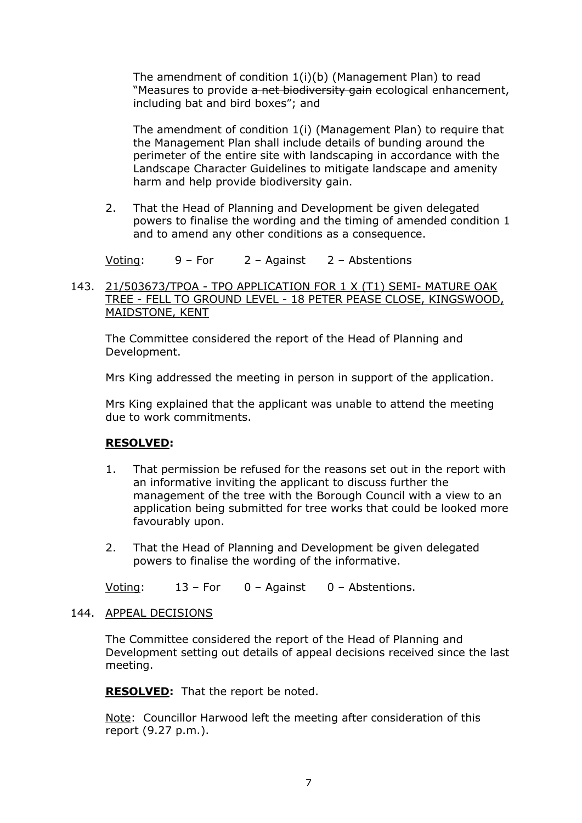The amendment of condition 1(i)(b) (Management Plan) to read "Measures to provide a net biodiversity gain ecological enhancement, including bat and bird boxes"; and

The amendment of condition 1(i) (Management Plan) to require that the Management Plan shall include details of bunding around the perimeter of the entire site with landscaping in accordance with the Landscape Character Guidelines to mitigate landscape and amenity harm and help provide biodiversity gain.

2. That the Head of Planning and Development be given delegated powers to finalise the wording and the timing of amended condition 1 and to amend any other conditions as a consequence.

Voting: 9 – For 2 – Against 2 – Abstentions

## 143. 21/503673/TPOA - TPO APPLICATION FOR 1 X (T1) SEMI- MATURE OAK TREE - FELL TO GROUND LEVEL - 18 PETER PEASE CLOSE, KINGSWOOD, MAIDSTONE, KENT

The Committee considered the report of the Head of Planning and Development.

Mrs King addressed the meeting in person in support of the application.

Mrs King explained that the applicant was unable to attend the meeting due to work commitments.

## **RESOLVED:**

- 1. That permission be refused for the reasons set out in the report with an informative inviting the applicant to discuss further the management of the tree with the Borough Council with a view to an application being submitted for tree works that could be looked more favourably upon.
- 2. That the Head of Planning and Development be given delegated powers to finalise the wording of the informative.

Voting: 13 – For 0 – Against 0 – Abstentions.

## 144. APPEAL DECISIONS

The Committee considered the report of the Head of Planning and Development setting out details of appeal decisions received since the last meeting.

**RESOLVED:** That the report be noted.

Note: Councillor Harwood left the meeting after consideration of this report (9.27 p.m.).